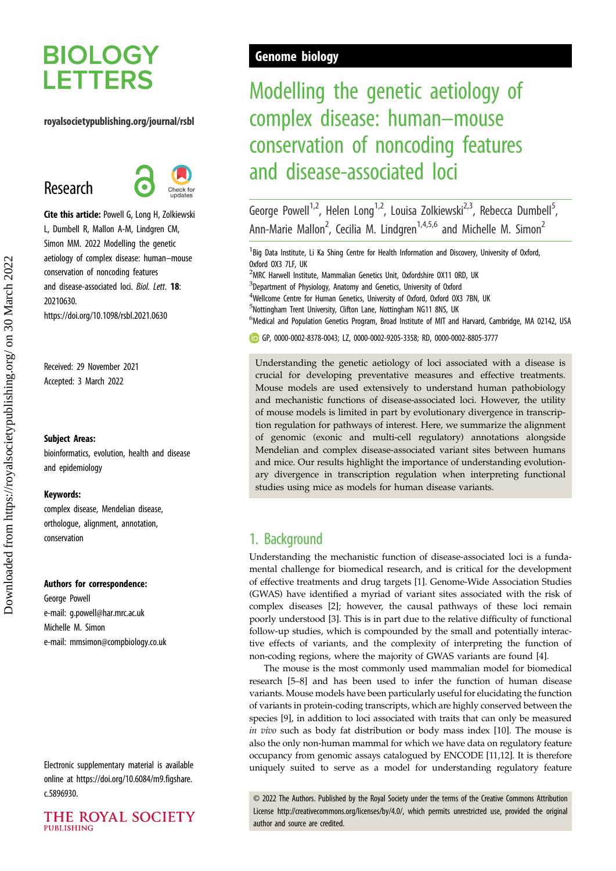# **BIOLOGY LETTERS**

### royalsocietypublishing.org/journal/rsbl

# Research



Cite this article: Powell G, Long H, Zolkiewski L, Dumbell R, Mallon A-M, Lindgren CM, Simon MM. 2022 Modelling the genetic aetiology of complex disease: human–mouse conservation of noncoding features and disease-associated loci. Biol. Lett. 18: 20210630. https://doi.org/10.1098/rsbl.2021.0630

Received: 29 November 2021 Accepted: 3 March 2022

### Subject Areas:

bioinformatics, evolution, health and disease and epidemiology

### Keywords:

complex disease, Mendelian disease, orthologue, alignment, annotation, conservation

#### Authors for correspondence:

George Powell e-mail: [g.powell@har.mrc.ac.uk](mailto:g.powell@har.mrc.ac.uk) Michelle M. Simon e-mail: [mmsimon@compbiology.co.uk](mailto:mmsimon@compbiology.co.uk)

Electronic supplementary material is available online at [https://doi.org/10.6084/m9.figshare.](https://doi.org/10.6084/m9.figshare.c.5896930) [c.5896930.](https://doi.org/10.6084/m9.figshare.c.5896930)



## Genome biology

# Modelling the genetic aetiology of complex disease: human–mouse conservation of noncoding features and disease-associated loci

George Powell<sup>1,2</sup>, Helen Long<sup>1,2</sup>, Louisa Zolkiewski<sup>2,3</sup>, Rebecca Dumbell<sup>5</sup>, , Ann-Marie Mallon<sup>2</sup>, Cecilia M. Lindgren<sup>1,4,5,6</sup> and Michelle M. Simon<sup>2</sup>

<sup>1</sup> Big Data Institute, Li Ka Shing Centre for Health Information and Discovery, University of Oxford, Oxford OX3 7LF, UK

<sup>2</sup>MRC Harwell Institute, Mammalian Genetics Unit, Oxfordshire OX11 ORD, UK

<sup>3</sup>Department of Physiology, Anatomy and Genetics, University of Oxford

<sup>4</sup>Wellcome Centre for Human Genetics, University of Oxford, Oxford OX3 7BN, UK

<sup>5</sup>Nottingham Trent University, Clifton Lane, Nottingham NG11 8NS, UK

<sup>6</sup>Medical and Population Genetics Program, Broad Institute of MIT and Harvard, Cambridge, MA 02142, USA

GP, [0000-0002-8378-0043](http://orcid.org/0000-0002-8378-0043); LZ, [0000-0002-9205-3358](http://orcid.org/0000-0002-9205-3358); RD, [0000-0002-8805-3777](http://orcid.org/0000-0002-8805-3777)

Understanding the genetic aetiology of loci associated with a disease is crucial for developing preventative measures and effective treatments. Mouse models are used extensively to understand human pathobiology and mechanistic functions of disease-associated loci. However, the utility of mouse models is limited in part by evolutionary divergence in transcription regulation for pathways of interest. Here, we summarize the alignment of genomic (exonic and multi-cell regulatory) annotations alongside Mendelian and complex disease-associated variant sites between humans and mice. Our results highlight the importance of understanding evolutionary divergence in transcription regulation when interpreting functional studies using mice as models for human disease variants.

## 1. Background

Understanding the mechanistic function of disease-associated loci is a fundamental challenge for biomedical research, and is critical for the development of effective treatments and drug targets [\[1\]](#page-3-0). Genome-Wide Association Studies (GWAS) have identified a myriad of variant sites associated with the risk of complex diseases [\[2\]](#page-3-0); however, the causal pathways of these loci remain poorly understood [\[3\]](#page-3-0). This is in part due to the relative difficulty of functional follow-up studies, which is compounded by the small and potentially interactive effects of variants, and the complexity of interpreting the function of non-coding regions, where the majority of GWAS variants are found [\[4\]](#page-3-0).

The mouse is the most commonly used mammalian model for biomedical research [[5](#page-3-0)–[8](#page-3-0)] and has been used to infer the function of human disease variants. Mouse models have been particularly useful for elucidating the function of variants in protein-coding transcripts, which are highly conserved between the species [\[9\]](#page-3-0), in addition to loci associated with traits that can only be measured in vivo such as body fat distribution or body mass index [\[10](#page-3-0)]. The mouse is also the only non-human mammal for which we have data on regulatory feature occupancy from genomic assays catalogued by ENCODE [[11](#page-3-0),[12](#page-3-0)]. It is therefore uniquely suited to serve as a model for understanding regulatory feature

© 2022 The Authors. Published by the Royal Society under the terms of the Creative Commons Attribution License<http://creativecommons.org/licenses/by/4.0/>, which permits unrestricted use, provided the original author and source are credited.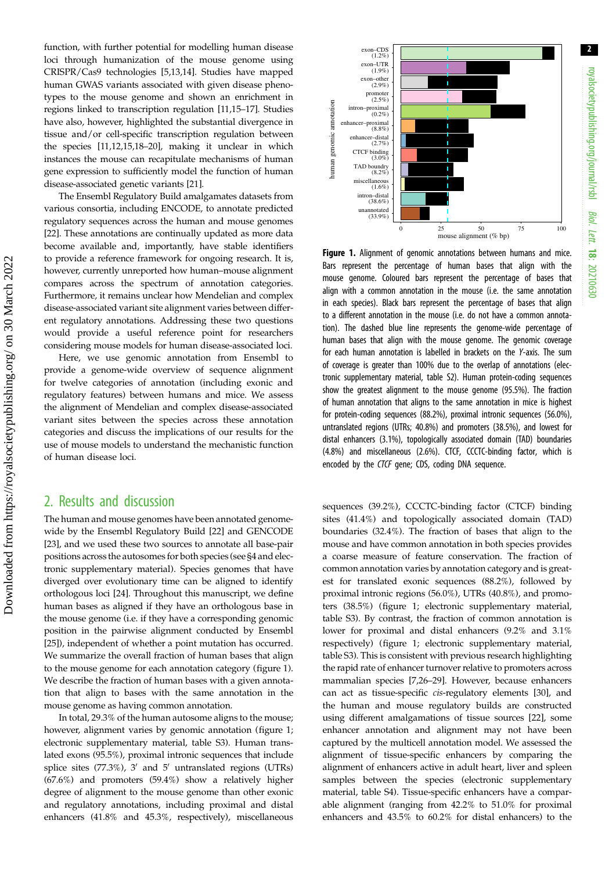2

function, with further potential for modelling human disease loci through humanization of the mouse genome using CRISPR/Cas9 technologies [[5,13,14](#page-3-0)]. Studies have mapped human GWAS variants associated with given disease phenotypes to the mouse genome and shown an enrichment in regions linked to transcription regulation [\[11,15](#page-3-0)–[17](#page-3-0)]. Studies have also, however, highlighted the substantial divergence in tissue and/or cell-specific transcription regulation between the species [\[11,12,15,18](#page-3-0)–[20](#page-4-0)], making it unclear in which instances the mouse can recapitulate mechanisms of human gene expression to sufficiently model the function of human disease-associated genetic variants [\[21](#page-4-0)].

The Ensembl Regulatory Build amalgamates datasets from various consortia, including ENCODE, to annotate predicted regulatory sequences across the human and mouse genomes [\[22](#page-4-0)]. These annotations are continually updated as more data become available and, importantly, have stable identifiers to provide a reference framework for ongoing research. It is, however, currently unreported how human–mouse alignment compares across the spectrum of annotation categories. Furthermore, it remains unclear how Mendelian and complex disease-associated variant site alignment varies between different regulatory annotations. Addressing these two questions would provide a useful reference point for researchers considering mouse models for human disease-associated loci.

Here, we use genomic annotation from Ensembl to provide a genome-wide overview of sequence alignment for twelve categories of annotation (including exonic and regulatory features) between humans and mice. We assess the alignment of Mendelian and complex disease-associated variant sites between the species across these annotation categories and discuss the implications of our results for the use of mouse models to understand the mechanistic function of human disease loci.

### 2. Results and discussion

The human and mouse genomes have been annotated genomewide by the Ensembl Regulatory Build [[22\]](#page-4-0) and GENCODE [\[23](#page-4-0)], and we used these two sources to annotate all base-pair positions across the autosomes for both species (see §4 and electronic supplementary material). Species genomes that have diverged over evolutionary time can be aligned to identify orthologous loci [\[24](#page-4-0)]. Throughout this manuscript, we define human bases as aligned if they have an orthologous base in the mouse genome (i.e. if they have a corresponding genomic position in the pairwise alignment conducted by Ensembl [\[25](#page-4-0)]), independent of whether a point mutation has occurred. We summarize the overall fraction of human bases that align to the mouse genome for each annotation category (figure 1). We describe the fraction of human bases with a given annotation that align to bases with the same annotation in the mouse genome as having common annotation.

In total, 29.3% of the human autosome aligns to the mouse; however, alignment varies by genomic annotation (figure 1; electronic supplementary material, table S3). Human translated exons (95.5%), proximal intronic sequences that include splice sites (77.3%),  $3'$  and  $5'$  untranslated regions (UTRs) (67.6%) and promoters (59.4%) show a relatively higher degree of alignment to the mouse genome than other exonic and regulatory annotations, including proximal and distal enhancers (41.8% and 45.3%, respectively), miscellaneous



Figure 1. Alignment of genomic annotations between humans and mice. Bars represent the percentage of human bases that align with the mouse genome. Coloured bars represent the percentage of bases that align with a common annotation in the mouse (i.e. the same annotation in each species). Black bars represent the percentage of bases that align to a different annotation in the mouse (i.e. do not have a common annotation). The dashed blue line represents the genome-wide percentage of human bases that align with the mouse genome. The genomic coverage for each human annotation is labelled in brackets on the Y-axis. The sum of coverage is greater than 100% due to the overlap of annotations (electronic supplementary material, table S2). Human protein-coding sequences show the greatest alignment to the mouse genome (95.5%). The fraction of human annotation that aligns to the same annotation in mice is highest for protein-coding sequences (88.2%), proximal intronic sequences (56.0%), untranslated regions (UTRs; 40.8%) and promoters (38.5%), and lowest for distal enhancers (3.1%), topologically associated domain (TAD) boundaries (4.8%) and miscellaneous (2.6%). CTCF, CCCTC‐binding factor, which is encoded by the CTCF gene; CDS, coding DNA sequence.

sequences (39.2%), CCCTC-binding factor (CTCF) binding sites (41.4%) and topologically associated domain (TAD) boundaries (32.4%). The fraction of bases that align to the mouse and have common annotation in both species provides a coarse measure of feature conservation. The fraction of common annotation varies by annotation category and is greatest for translated exonic sequences (88.2%), followed by proximal intronic regions (56.0%), UTRs (40.8%), and promoters (38.5%) (figure 1; electronic supplementary material, table S3). By contrast, the fraction of common annotation is lower for proximal and distal enhancers (9.2% and 3.1% respectively) (figure 1; electronic supplementary material, table S3). This is consistent with previous research highlighting the rapid rate of enhancer turnover relative to promoters across mammalian species [\[7,](#page-3-0)[26](#page-4-0)–[29](#page-4-0)]. However, because enhancers can act as tissue-specific cis-regulatory elements [[30\]](#page-4-0), and the human and mouse regulatory builds are constructed using different amalgamations of tissue sources [[22\]](#page-4-0), some enhancer annotation and alignment may not have been captured by the multicell annotation model. We assessed the alignment of tissue-specific enhancers by comparing the alignment of enhancers active in adult heart, liver and spleen samples between the species (electronic supplementary material, table S4). Tissue-specific enhancers have a comparable alignment (ranging from 42.2% to 51.0% for proximal enhancers and 43.5% to 60.2% for distal enhancers) to the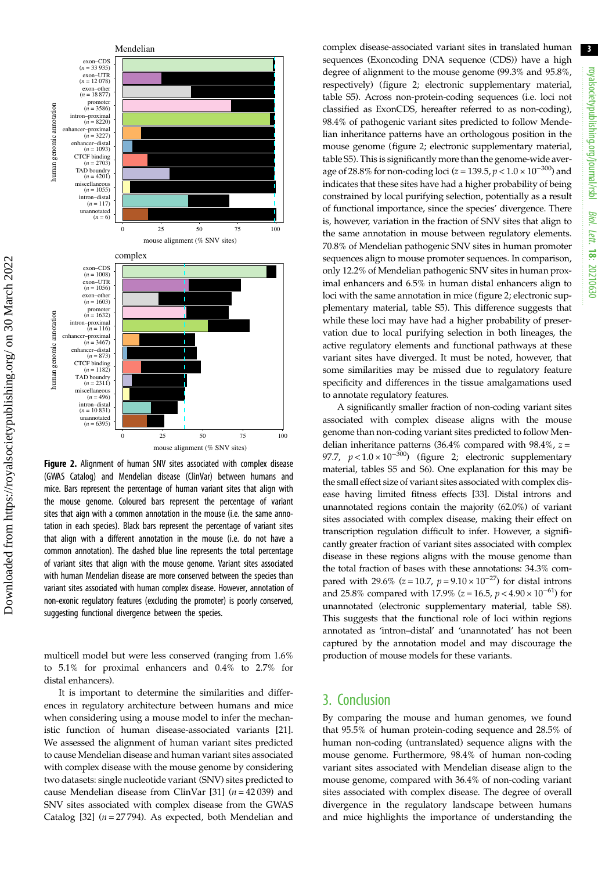

Figure 2. Alignment of human SNV sites associated with complex disease (GWAS Catalog) and Mendelian disease (ClinVar) between humans and mice. Bars represent the percentage of human variant sites that align with the mouse genome. Coloured bars represent the percentage of variant sites that aign with a common annotation in the mouse (i.e. the same annotation in each species). Black bars represent the percentage of variant sites that align with a different annotation in the mouse (i.e. do not have a common annotation). The dashed blue line represents the total percentage of variant sites that align with the mouse genome. Variant sites associated with human Mendelian disease are more conserved between the species than variant sites associated with human complex disease. However, annotation of non-exonic regulatory features (excluding the promoter) is poorly conserved, suggesting functional divergence between the species.

multicell model but were less conserved (ranging from 1.6% to 5.1% for proximal enhancers and 0.4% to 2.7% for distal enhancers).

It is important to determine the similarities and differences in regulatory architecture between humans and mice when considering using a mouse model to infer the mechanistic function of human disease-associated variants [\[21](#page-4-0)]. We assessed the alignment of human variant sites predicted to cause Mendelian disease and human variant sites associated with complex disease with the mouse genome by considering two datasets: single nucleotide variant (SNV) sites predicted to cause Mendelian disease from ClinVar [\[31](#page-4-0)] ( $n = 42039$ ) and SNV sites associated with complex disease from the GWAS Catalog [[32\]](#page-4-0)  $(n = 27794)$ . As expected, both Mendelian and complex disease-associated variant sites in translated human sequences (Exoncoding DNA sequence (CDS)) have a high degree of alignment to the mouse genome (99.3% and 95.8%, respectively) (figure 2; electronic supplementary material, table S5). Across non-protein-coding sequences (i.e. loci not classified as ExonCDS, hereafter referred to as non-coding), 98.4% of pathogenic variant sites predicted to follow Mendelian inheritance patterns have an orthologous position in the mouse genome (figure 2; electronic supplementary material, table S5). This is significantly more than the genome-wide average of 28.8% for non-coding loci ( $z = 139.5$ ,  $p < 1.0 \times 10^{-300}$ ) and indicates that these sites have had a higher probability of being constrained by local purifying selection, potentially as a result of functional importance, since the species' divergence. There is, however, variation in the fraction of SNV sites that align to the same annotation in mouse between regulatory elements. 70.8% of Mendelian pathogenic SNV sites in human promoter sequences align to mouse promoter sequences. In comparison, only 12.2% of Mendelian pathogenic SNV sites in human proximal enhancers and 6.5% in human distal enhancers align to loci with the same annotation in mice (figure 2; electronic supplementary material, table S5). This difference suggests that while these loci may have had a higher probability of preservation due to local purifying selection in both lineages, the active regulatory elements and functional pathways at these variant sites have diverged. It must be noted, however, that some similarities may be missed due to regulatory feature specificity and differences in the tissue amalgamations used to annotate regulatory features.

A significantly smaller fraction of non-coding variant sites associated with complex disease aligns with the mouse genome than non-coding variant sites predicted to follow Mendelian inheritance patterns (36.4% compared with 98.4%,  $z =$ 97.7,  $p < 1.0 \times 10^{-300}$ ) (figure 2; electronic supplementary material, tables S5 and S6). One explanation for this may be the small effect size of variant sites associated with complex disease having limited fitness effects [\[33](#page-4-0)]. Distal introns and unannotated regions contain the majority (62.0%) of variant sites associated with complex disease, making their effect on transcription regulation difficult to infer. However, a significantly greater fraction of variant sites associated with complex disease in these regions aligns with the mouse genome than the total fraction of bases with these annotations: 34.3% compared with 29.6% (z = 10.7,  $p = 9.10 \times 10^{-27}$ ) for distal introns and 25.8% compared with 17.9% ( $z = 16.5$ ,  $p < 4.90 \times 10^{-61}$ ) for unannotated (electronic supplementary material, table S8). This suggests that the functional role of loci within regions annotated as 'intron–distal' and 'unannotated' has not been captured by the annotation model and may discourage the production of mouse models for these variants.

### 3. Conclusion

By comparing the mouse and human genomes, we found that 95.5% of human protein-coding sequence and 28.5% of human non-coding (untranslated) sequence aligns with the mouse genome. Furthermore, 98.4% of human non-coding variant sites associated with Mendelian disease align to the mouse genome, compared with 36.4% of non-coding variant sites associated with complex disease. The degree of overall divergence in the regulatory landscape between humans and mice highlights the importance of understanding the

3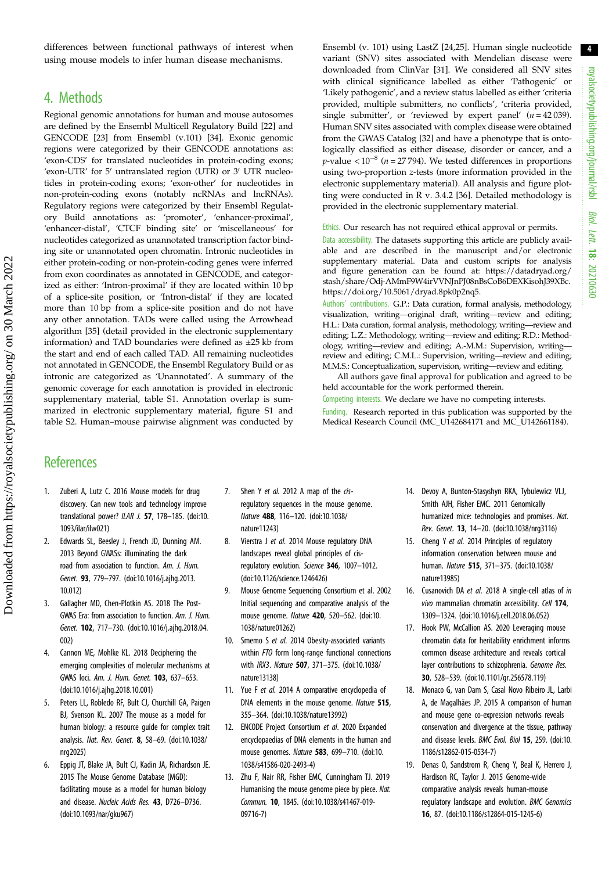<span id="page-3-0"></span>differences between functional pathways of interest when using mouse models to infer human disease mechanisms.

## 4. Methods

Regional genomic annotations for human and mouse autosomes are defined by the Ensembl Multicell Regulatory Build [\[22\]](#page-4-0) and GENCODE [\[23\]](#page-4-0) from Ensembl (v.101) [[34](#page-4-0)]. Exonic genomic regions were categorized by their GENCODE annotations as: 'exon-CDS' for translated nucleotides in protein-coding exons; 'exon-UTR' for  $5'$  untranslated region (UTR) or  $3'$  UTR nucleotides in protein-coding exons; 'exon-other' for nucleotides in non-protein-coding exons (notably ncRNAs and lncRNAs). Regulatory regions were categorized by their Ensembl Regulatory Build annotations as: 'promoter', 'enhancer-proximal', 'enhancer-distal', 'CTCF binding site' or 'miscellaneous' for nucleotides categorized as unannotated transcription factor binding site or unannotated open chromatin. Intronic nucleotides in either protein-coding or non-protein-coding genes were inferred from exon coordinates as annotated in GENCODE, and categorized as either: 'Intron-proximal' if they are located within 10 bp of a splice-site position, or 'Intron-distal' if they are located more than 10 bp from a splice-site position and do not have any other annotation. TADs were called using the Arrowhead algorithm [\[35\]](#page-4-0) (detail provided in the electronic supplementary information) and TAD boundaries were defined as ±25 kb from the start and end of each called TAD. All remaining nucleotides not annotated in GENCODE, the Ensembl Regulatory Build or as intronic are categorized as 'Unannotated'. A summary of the genomic coverage for each annotation is provided in electronic supplementary material, table S1. Annotation overlap is summarized in electronic supplementary material, figure S1 and table S2. Human–mouse pairwise alignment was conducted by Ensembl (v. 101) using LastZ [[24,25\]](#page-4-0). Human single nucleotide variant (SNV) sites associated with Mendelian disease were downloaded from ClinVar [[31](#page-4-0)]. We considered all SNV sites with clinical significance labelled as either 'Pathogenic' or 'Likely pathogenic', and a review status labelled as either 'criteria provided, multiple submitters, no conflicts', 'criteria provided, single submitter', or 'reviewed by expert panel'  $(n = 42039)$ . Human SNV sites associated with complex disease were obtained from the GWAS Catalog [[32](#page-4-0)] and have a phenotype that is ontologically classified as either disease, disorder or cancer, and a  $p$ -value <  $10^{-8}$  (*n* = 27 794). We tested differences in proportions using two-proportion z-tests (more information provided in the electronic supplementary material). All analysis and figure plotting were conducted in R v. 3.4.2 [[36\]](#page-4-0). Detailed methodology is provided in the electronic supplementary material.

Ethics. Our research has not required ethical approval or permits.

Data accessibility. The datasets supporting this article are publicly available and are described in the manuscript and/or electronic supplementary material. Data and custom scripts for analysis and figure generation can be found at: [https://datadryad.org/](https://datadryad.org/stash/share/Odj-AMmF9W4irVVNJnPJ08nBsCoB6DEXKisohJ39XBc) [stash/share/Odj-AMmF9W4irVVNJnPJ08nBsCoB6DEXKisohJ39XBc.](https://datadryad.org/stash/share/Odj-AMmF9W4irVVNJnPJ08nBsCoB6DEXKisohJ39XBc) [https://doi.org/10.5061/dryad.8pk0p2nq5.](https://doi.org/10.5061/dryad.8pk0p2nq5)

Authors' contributions. G.P.: Data curation, formal analysis, methodology, visualization, writing—original draft, writing—review and editing; H.L.: Data curation, formal analysis, methodology, writing—review and editing; L.Z.: Methodology, writing—review and editing; R.D.: Methodology, writing—review and editing; A.-M.M.: Supervision, writing review and editing; C.M.L.: Supervision, writing—review and editing; M.M.S.: Conceptualization, supervision, writing—review and editing.

All authors gave final approval for publication and agreed to be held accountable for the work performed therein.

Competing interests. We declare we have no competing interests. Funding. Research reported in this publication was supported by the Medical Research Council (MC\_U142684171 and MC\_U142661184).

## **References**

- 1. Zuberi A, Lutz C. 2016 Mouse models for drug discovery. Can new tools and technology improve translational power? ILAR J. 57, 178–185. [\(doi:10.](http://dx.doi.org/10.1093/ilar/ilw021) [1093/ilar/ilw021\)](http://dx.doi.org/10.1093/ilar/ilw021)
- 2. Edwards SL, Beesley J, French JD, Dunning AM. 2013 Beyond GWASs: illuminating the dark road from association to function. Am. J. Hum. Genet. 93, 779–797. [\(doi:10.1016/j.ajhg.2013.](http://dx.doi.org/10.1016/j.ajhg.2013.10.012) [10.012\)](http://dx.doi.org/10.1016/j.ajhg.2013.10.012)
- Gallagher MD, Chen-Plotkin AS. 2018 The Post-GWAS Era: from association to function. Am. J. Hum. Genet. 102, 717–730. ([doi:10.1016/j.ajhg.2018.04.](http://dx.doi.org/10.1016/j.ajhg.2018.04.002) [002](http://dx.doi.org/10.1016/j.ajhg.2018.04.002))
- Cannon ME, Mohlke KL. 2018 Deciphering the emerging complexities of molecular mechanisms at GWAS loci. Am. J. Hum. Genet. 103, 637–653. [\(doi:10.1016/j.ajhg.2018.10.001\)](http://dx.doi.org/10.1016/j.ajhg.2018.10.001)
- 5. Peters LL, Robledo RF, Bult CJ, Churchill GA, Paigen BJ, Svenson KL. 2007 The mouse as a model for human biology: a resource guide for complex trait analysis. Nat. Rev. Genet. 8, 58–69. ([doi:10.1038/](http://dx.doi.org/10.1038/nrg2025) [nrg2025\)](http://dx.doi.org/10.1038/nrg2025)
- 6. Eppig JT, Blake JA, Bult CJ, Kadin JA, Richardson JE. 2015 The Mouse Genome Database (MGD): facilitating mouse as a model for human biology and disease. Nucleic Acids Res. 43, D726–D736. [\(doi:10.1093/nar/gku967\)](http://dx.doi.org/10.1093/nar/gku967)
- 7. Shen Y et al. 2012 A map of the cisregulatory sequences in the mouse genome. Nature 488, 116–120. [\(doi:10.1038/](https://doi.org/10.1038/nature11243) [nature11243](https://doi.org/10.1038/nature11243))
- 8. Vierstra J et al. 2014 Mouse regulatory DNA landscapes reveal global principles of cisregulatory evolution. Science 346, 1007–1012. [\(doi:10.1126/science.1246426](http://dx.doi.org/10.1126/science.1246426))
- 9. Mouse Genome Sequencing Consortium et al. 2002 Initial sequencing and comparative analysis of the mouse genome. Nature 420, 520–562. ([doi:10.](http://dx.doi.org/10.1038/nature01262) [1038/nature01262](http://dx.doi.org/10.1038/nature01262))
- 10. Smemo S et al. 2014 Obesity-associated variants within FTO form long-range functional connections with IRX3. Nature 507, 371–375. ([doi:10.1038/](https://doi.org/10.1038/nature13138) [nature13138](https://doi.org/10.1038/nature13138))
- 11. Yue F et al. 2014 A comparative encyclopedia of DNA elements in the mouse genome. Nature 515, 355–364. ([doi:10.1038/nature13992\)](http://dx.doi.org/10.1038/nature13992)
- 12. ENCODE Project Consortium et al. 2020 Expanded encyclopaedias of DNA elements in the human and mouse genomes. Nature 583, 699–710. [\(doi:10.](http://dx.doi.org/10.1038/s41586-020-2493-4) [1038/s41586-020-2493-4\)](http://dx.doi.org/10.1038/s41586-020-2493-4)
- 13. Zhu F, Nair RR, Fisher EMC, Cunningham TJ. 2019 Humanising the mouse genome piece by piece. Nat. Commun. 10, 1845. ([doi:10.1038/s41467-019-](http://dx.doi.org/10.1038/s41467-019-09716-7) [09716-7\)](http://dx.doi.org/10.1038/s41467-019-09716-7)
- 14. Devoy A, Bunton-Stasyshyn RKA, Tybulewicz VLJ, Smith AJH, Fisher EMC. 2011 Genomically humanized mice: technologies and promises. Nat. Rev. Genet. 13, 14–20. [\(doi:10.1038/nrg3116](http://dx.doi.org/10.1038/nrg3116))
- 15. Cheng Y et al. 2014 Principles of regulatory information conservation between mouse and human. Nature 515, 371–375. [\(doi:10.1038/](http://dx.doi.org/10.1038/nature13985) [nature13985](http://dx.doi.org/10.1038/nature13985))
- 16. Cusanovich DA et al. 2018 A single-cell atlas of in vivo mammalian chromatin accessibility. Cell 174, 1309–1324. [\(doi:10.1016/j.cell.2018.06.052\)](https://doi.org/10.1016/j.cell.2018.06.052)
- 17. Hook PW, McCallion AS. 2020 Leveraging mouse chromatin data for heritability enrichment informs common disease architecture and reveals cortical layer contributions to schizophrenia. Genome Res. 30, 528–539. ([doi:10.1101/gr.256578.119\)](http://dx.doi.org/10.1101/gr.256578.119)
- 18. Monaco G, van Dam S, Casal Novo Ribeiro JL, Larbi A, de Magalhães JP. 2015 A comparison of human and mouse gene co-expression networks reveals conservation and divergence at the tissue, pathway and disease levels. BMC Evol. Biol 15, 259. [\(doi:10.](http://dx.doi.org/10.1186/s12862-015-0534-7) [1186/s12862-015-0534-7](http://dx.doi.org/10.1186/s12862-015-0534-7))
- 19. Denas O, Sandstrom R, Cheng Y, Beal K, Herrero J, Hardison RC, Taylor J. 2015 Genome-wide comparative analysis reveals human-mouse regulatory landscape and evolution. BMC Genomics 16, 87. ([doi:10.1186/s12864-015-1245-6\)](http://dx.doi.org/10.1186/s12864-015-1245-6)